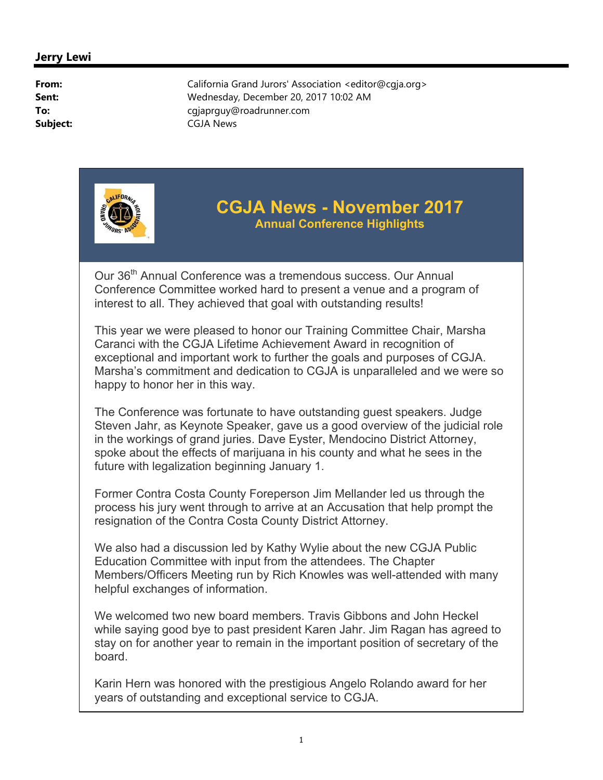

Our 36<sup>th</sup> Annual Conference was a tremendous success. Our Annual Conference Committee worked hard to present a venue and a program of interest to all. They achieved that goal with outstanding results!

This year we were pleased to honor our Training Committee Chair, Marsha Caranci with the CGJA Lifetime Achievement Award in recognition of exceptional and important work to further the goals and purposes of CGJA. Marsha's commitment and dedication to CGJA is unparalleled and we were so happy to honor her in this way.

The Conference was fortunate to have outstanding guest speakers. Judge Steven Jahr, as Keynote Speaker, gave us a good overview of the judicial role in the workings of grand juries. Dave Eyster, Mendocino District Attorney, spoke about the effects of marijuana in his county and what he sees in the future with legalization beginning January 1.

Former Contra Costa County Foreperson Jim Mellander led us through the process his jury went through to arrive at an Accusation that help prompt the resignation of the Contra Costa County District Attorney.

We also had a discussion led by Kathy Wylie about the new CGJA Public Education Committee with input from the attendees. The Chapter Members/Officers Meeting run by Rich Knowles was well-attended with many helpful exchanges of information.

We welcomed two new board members. Travis Gibbons and John Heckel while saying good bye to past president Karen Jahr. Jim Ragan has agreed to stay on for another year to remain in the important position of secretary of the board.

Karin Hern was honored with the prestigious Angelo Rolando award for her years of outstanding and exceptional service to CGJA.